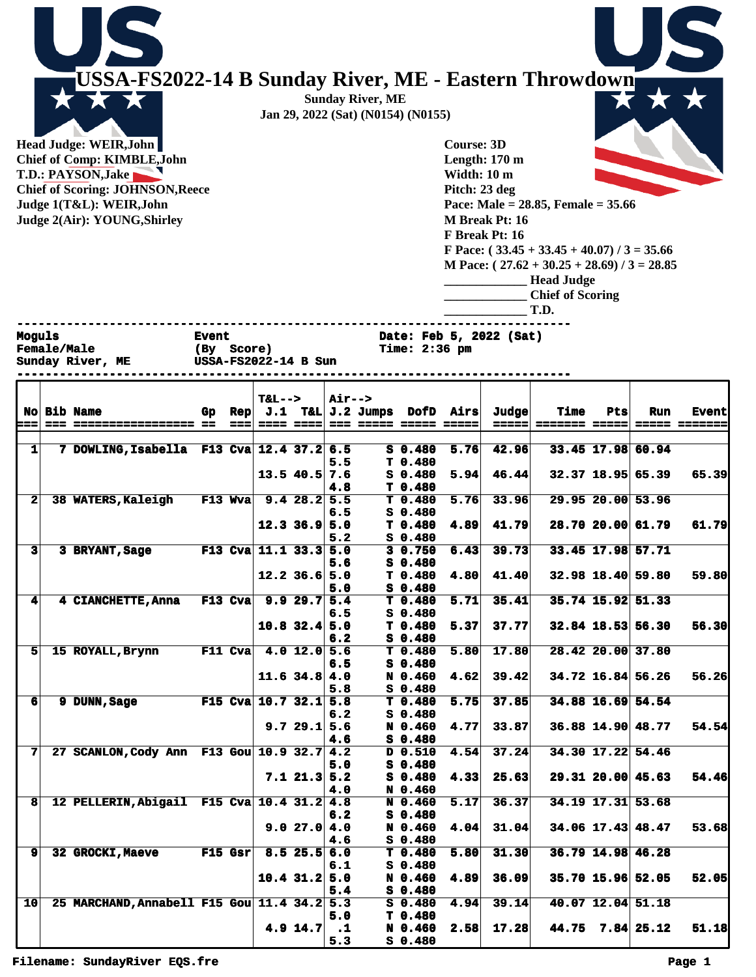**USSA-FS2022-14 B Sunday River, ME - Eastern Throwdown Sunday River, ME Jan 29, 2022 (Sat) (N0154) (N0155)**

**Head Judge: WEIR,John Chief of Comp: KIMBLE,John T.D.: PAYSON,Jake Chief of Scoring: JOHNSON,Reece Judge 1(T&L): WEIR,John Judge 2(Air): YOUNG,Shirley** 

**Course: 3D Length: 170 m Width: 10 m Pitch: 23 deg Pace: Male = 28.85, Female = 35.66 M Break Pt: 16 F Break Pt: 16 F Pace: ( 33.45 + 33.45 + 40.07) / 3 = 35.66 M Pace: ( 27.62 + 30.25 + 28.69) / 3 = 28.85 \_\_\_\_\_\_\_\_\_\_\_\_\_ Head Judge \_\_\_\_\_\_\_\_\_\_\_\_\_ Chief of Scoring \_\_\_\_\_\_\_\_\_\_\_\_\_ T.D. ------------------------------------------------------------------------------**

**Sunday River, ME USSA-FS2022-14 B Sun** 

**Moguls Event** Event Date: Feb 5, 2022 (Sat)<br> **Female/Male** (By Score) Time: 2:36 pm

**------------------------------------------------------------------------------**

**Female/Male (By Score) Time: 2:36 pm**

|                         |                                             |     |             | $T&L-->$            |                 | Air-->               |                                                          |      |                |                              |     |                         |                                      |
|-------------------------|---------------------------------------------|-----|-------------|---------------------|-----------------|----------------------|----------------------------------------------------------|------|----------------|------------------------------|-----|-------------------------|--------------------------------------|
| ===                     | <b>No Bib Name</b>                          | Gp. | Rep<br>aaal |                     | ==== ====       |                      | $J.1$ T&L $J.2$ Jumps DofD Airs<br>=== ===== ===== ===== |      | Judge<br>===== | Time<br><b>======= =====</b> | Pts | <b>Run</b>              | <b>Event</b><br><b>===== =======</b> |
|                         |                                             |     |             |                     |                 |                      |                                                          |      |                |                              |     |                         |                                      |
| 1 <sup>1</sup>          | 7 DOWLING, Isabella F13 Cva 12.4 37.2 6.5   |     |             |                     |                 |                      | $S_0.480$                                                | 5.76 | 42.96          |                              |     | 33.45 17.98 60.94       |                                      |
|                         |                                             |     |             |                     |                 | 5.5                  | T <sub>0.480</sub>                                       |      |                |                              |     |                         |                                      |
|                         |                                             |     |             |                     | $13.5$ 40.5 7.6 |                      | $S_0.480$                                                | 5.94 | 46.44          |                              |     | 32.37 18.95 65.39       | 65.39                                |
|                         |                                             |     |             |                     |                 | 4.8                  | T <sub>0.480</sub>                                       |      |                |                              |     |                         |                                      |
| 2 <sup>1</sup>          | 38 WATERS, Kaleigh                          |     | $F13$ Wva   |                     | 9.428.25.5      |                      | T 0.480                                                  | 5.76 | 33.96          |                              |     | 29.95 20.00 53.96       |                                      |
|                         |                                             |     |             |                     |                 | 6.5                  | $S$ 0.480                                                |      |                |                              |     |                         |                                      |
|                         |                                             |     |             |                     | $12.3$ 36.9 5.0 |                      | T <sub>0.480</sub>                                       | 4.89 | 41.79          |                              |     | 28.70 20.00 61.79       | 61.79                                |
|                         |                                             |     |             |                     |                 | 5.2                  | $S$ 0.480                                                |      |                |                              |     |                         |                                      |
| $\overline{\mathbf{3}}$ | 3 BRYANT, Sage                              |     | $F13$ Cva   | $11.1$ $33.3$ $5.0$ |                 |                      | 3 0.750                                                  | 6.43 | 39.73          |                              |     | 33.45 17.98 57.71       |                                      |
|                         |                                             |     |             |                     |                 | 5.6                  | $S_0.480$                                                |      |                |                              |     |                         |                                      |
|                         |                                             |     |             |                     | $12.2$ 36.6 5.0 |                      | T <sub>0.480</sub>                                       | 4.80 | 41.40          |                              |     | 32.98 18.40 59.80       | 59.80                                |
|                         |                                             |     |             |                     |                 | 5.0                  | $S_0.480$                                                |      |                |                              |     |                         |                                      |
| $\mathbf{4}$            | 4 CIANCHETTE, Anna                          |     | $F13$ Cva   | 9.929.75.4          |                 |                      | T <sub>0.480</sub>                                       | 5.71 | 35.41          |                              |     | 35.74 15.92 51.33       |                                      |
|                         |                                             |     |             |                     |                 | 6.5                  | $S_0.480$                                                |      |                |                              |     |                         |                                      |
|                         |                                             |     |             |                     | $10.8$ 32.4 5.0 |                      | T 0.480                                                  | 5.37 | 37.77          |                              |     | 32.84 18.53 56.30       | 56.30                                |
|                         |                                             |     |             |                     |                 | 6.2                  | $S$ 0.480                                                |      |                |                              |     |                         |                                      |
| 51                      | 15 ROYALL, Brynn                            |     | $F11$ Cva   |                     | 4.0 $12.0$ 5.6  |                      | T <sub>0.480</sub>                                       | 5.80 | 17.80          |                              |     | 28.42 20.00 37.80       |                                      |
|                         |                                             |     |             |                     |                 | 6.5                  | $S_0.480$                                                |      |                |                              |     |                         |                                      |
|                         |                                             |     |             |                     | $11.6$ 34.8 4.0 |                      | N 0.460                                                  | 4.62 | 39.42          |                              |     | 34.72 16.84 56.26       | 56.26                                |
|                         |                                             |     |             |                     |                 | 5.8                  | $S_0.480$                                                |      |                |                              |     |                         |                                      |
| 6 <sup>1</sup>          | 9 DUNN, Sage                                |     | $F15$ Cva   |                     | $10.7$ 32.1 5.8 |                      | T 0.480                                                  | 5.75 | 37.85          |                              |     | 34.88 16.69 54.54       |                                      |
|                         |                                             |     |             |                     |                 | 6.2                  | $S$ 0.480                                                |      |                |                              |     |                         |                                      |
|                         |                                             |     |             |                     | 9.729.15.6      |                      | N 0.460                                                  | 4.77 | 33.87          |                              |     | 36.88 14.90 48.77       | 54.54                                |
| 7                       | 27 SCANLON, Cody Ann F13 Gou 10.9 32.7 4.2  |     |             |                     |                 | 4.6                  | $S_0.480$<br>D 0.510                                     | 4.54 | 37.24          |                              |     | 34.30 17.22 54.46       |                                      |
|                         |                                             |     |             |                     |                 | 5.0                  | $S$ 0.480                                                |      |                |                              |     |                         |                                      |
|                         |                                             |     |             |                     | $7.1$ 21.3 5.2  |                      | $S_0.480$                                                | 4.33 | 25.63          |                              |     | $29.31$ $20.00$ $45.63$ | 54.46                                |
|                         |                                             |     |             |                     |                 | 4.0                  | N 0.460                                                  |      |                |                              |     |                         |                                      |
| 8                       | 12 PELLERIN, Abigail F15 Cva 10.4 31.2 4.8  |     |             |                     |                 |                      | N 0.460                                                  | 5.17 | 36.37          |                              |     | 34.19 17.31 53.68       |                                      |
|                         |                                             |     |             |                     |                 | 6.2                  | $S$ 0.480                                                |      |                |                              |     |                         |                                      |
|                         |                                             |     |             |                     | 9.027.04.0      |                      | N 0.460                                                  | 4.04 | 31.04          |                              |     | $34.06$ 17.43 48.47     | 53.68                                |
|                         |                                             |     |             |                     |                 | 4.6                  | S 0.480                                                  |      |                |                              |     |                         |                                      |
| 9 <sup>1</sup>          | 32 GROCKI, Maeve                            |     | F15 Gsr     |                     | $8.5$ 25.5 6.0  |                      | T <sub>0.480</sub>                                       | 5.80 | 31.30          |                              |     | 36.79 14.98 46.28       |                                      |
|                         |                                             |     |             |                     |                 | 6.1                  | $S$ 0.480                                                |      |                |                              |     |                         |                                      |
|                         |                                             |     |             |                     | $10.4$ 31.2 5.0 |                      | N 0.460                                                  | 4.89 | 36.09          |                              |     | 35.70 15.96 52.05       | 52.05                                |
|                         |                                             |     |             |                     |                 | 5.4                  | $S_0.480$                                                |      |                |                              |     |                         |                                      |
| 10                      | 25 MARCHAND, Annabell F15 Gou 11.4 34.2 5.3 |     |             |                     |                 |                      | $S$ 0.480                                                | 4.94 | 39.14          |                              |     | 40.07 12.04 51.18       |                                      |
|                         |                                             |     |             |                     |                 | 5.0                  | T <sub>0.480</sub>                                       |      |                |                              |     |                         |                                      |
|                         |                                             |     |             |                     | $4.9$ 14.7      | $\ddot{\phantom{1}}$ | N 0.460                                                  | 2.58 | 17.28          |                              |     | 44.75 7.84 25.12        | 51.18                                |
|                         |                                             |     |             |                     |                 | 5.3                  | $S$ 0.480                                                |      |                |                              |     |                         |                                      |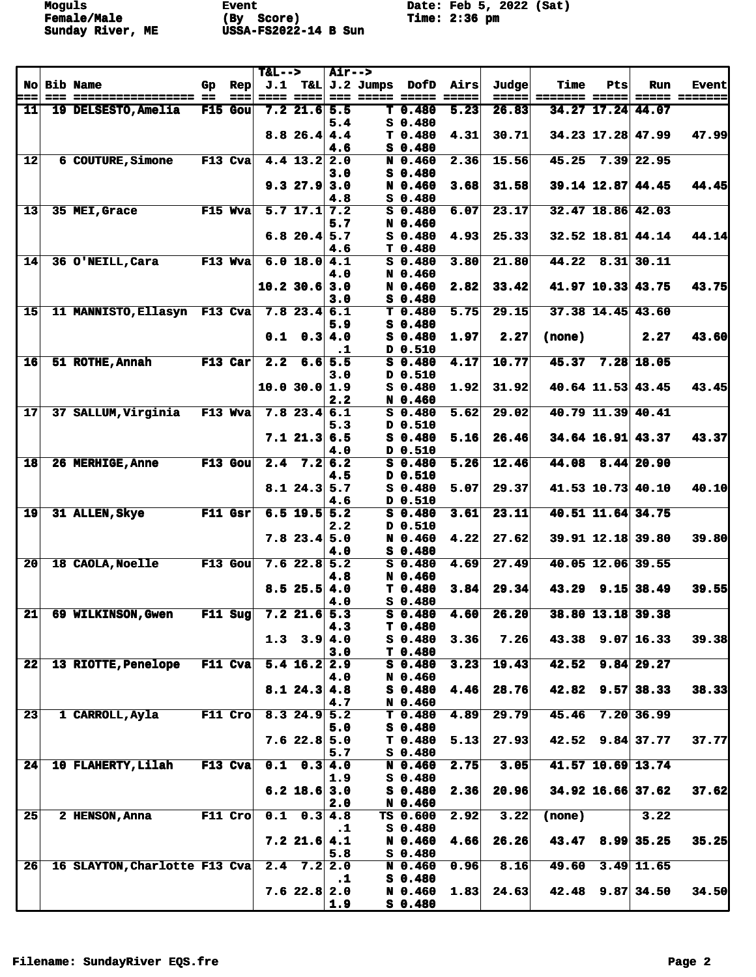**Female/Male (By Score) Time: 2:36 pm Sunday River, ME USSA-FS2022-14 B Sun** 

**Moguls Event** Event Date: Feb 5, 2022 (Sat)<br> **Female/Male** (By Score) Time: 2:36 pm

|      |                               |           |           | $T&L-->$         |                        | <b>Air--&gt;</b> |                       |                                 |        |       |               |     |                       |                      |
|------|-------------------------------|-----------|-----------|------------------|------------------------|------------------|-----------------------|---------------------------------|--------|-------|---------------|-----|-----------------------|----------------------|
|      | No Bib Name                   | Gp.       | Rep       |                  |                        |                  | $J.1$ T&L $J.2$ Jumps | DofD                            | Airs   | Judge | Time          | Pts | Run                   | <b>Event</b>         |
| ===  | ================== ==         |           | ===       | $= 22$           | -----                  |                  |                       |                                 | ------ | ===== | ======= ===== |     |                       | <b>===== =======</b> |
| $11$ | 19 DELSESTO, Amelia           |           | $F15$ Gou |                  | $7.2$ 21.6             | 5.5<br>5.4       |                       | T <sub>0.480</sub><br>$S$ 0.480 | 5.23   | 26.83 |               |     | 34.27 17.24 44.07     |                      |
|      |                               |           |           |                  | 8.826.44.4             |                  |                       | T <sub>0.480</sub>              | 4.31   | 30.71 |               |     | 34.23 17.28 47.99     | 47.99                |
|      |                               |           |           |                  |                        | 4.6              |                       | $S_0.480$                       |        |       |               |     |                       |                      |
| 12   | 6 COUTURE, Simone             | $F13$ Cva |           |                  | $4.4$ 13.2             | 2.0              |                       | N 0.460                         | 2.36   | 15.56 | 45.25         |     | $7.39$ 22.95          |                      |
|      |                               |           |           |                  |                        | 3.0              |                       | $S$ 0.480                       |        |       |               |     |                       |                      |
|      |                               |           |           |                  | 9.327.9                | 3.0              |                       | N 0.460                         | 3.68   | 31.58 |               |     | 39.14 12.87 44.45     | 44.45                |
|      |                               |           |           |                  |                        | 4.8              |                       | $S_0.480$                       |        |       |               |     |                       |                      |
| 13   | 35 MEI, Grace                 | F15 Wva   |           |                  | $5.7$ 17.1 7.2         |                  |                       | $S$ 0.480                       | 6.07   | 23.17 |               |     | 32.47 18.86 42.03     |                      |
|      |                               |           |           |                  |                        | 5.7              |                       | N 0.460                         |        |       |               |     |                       |                      |
|      |                               |           |           |                  | $6.8$ 20.4 5.7         |                  |                       | $S_0.480$                       | 4.93   | 25.33 |               |     | $32.52$ 18.81 44.14   | 44.14                |
| 14   | 36 O'NEILL, Cara              | F13 Wva   |           |                  | 6.0 18.0               | 4.6<br>4.1       |                       | T 0.480<br>$S$ 0.480            | 3.80   | 21.80 | 44.22         |     | $8.31$ 30.11          |                      |
|      |                               |           |           |                  |                        | 4.0              |                       | N 0.460                         |        |       |               |     |                       |                      |
|      |                               |           |           |                  | 10.2 30.6              | 3.0              |                       | N 0.460                         | 2.82   | 33.42 |               |     | 41.97 10.33 43.75     | 43.75                |
|      |                               |           |           |                  |                        | 3.0              |                       | $S_0.480$                       |        |       |               |     |                       |                      |
| 15   | 11 MANNISTO, Ellasyn F13 Cva  |           |           |                  | $7.8$ 23.4 6.1         |                  |                       | T <sub>0.480</sub>              | 5.75   | 29.15 |               |     | 37.38 14.45 43.60     |                      |
|      |                               |           |           |                  |                        | 5.9              |                       | $S$ 0.480                       |        |       |               |     |                       |                      |
|      |                               |           |           |                  | $0.1 \quad 0.3 \, 4.0$ |                  |                       | $S$ 0.480                       | 1.97   | 2.27  | (none)        |     | 2.27                  | 43.60                |
|      |                               |           |           |                  |                        | $\cdot$ 1        |                       | D 0.510                         |        |       |               |     |                       |                      |
| 16   | 51 ROTHE, Annah               | F13 Car   |           | $\overline{2.2}$ | 6.6                    | 5.5              |                       | $S$ 0.480                       | 4.17   | 10.77 | 45.37         |     | $7.28$ 18.05          |                      |
|      |                               |           |           |                  | 10.0 30.0 1.9          | 3.0              |                       | D 0.510<br>S 0.480              | 1.92   | 31.92 |               |     | 40.64 11.53 43.45     | 43.45                |
|      |                               |           |           |                  |                        | 2.2              |                       | N 0.460                         |        |       |               |     |                       |                      |
| 17   | 37 SALLUM.Virginia            | $F13$ Wva |           |                  | $7.8$ 23.4 6.1         |                  |                       | $S$ 0.480                       | 5.62   | 29.02 |               |     | $40.79$ 11.39 $40.41$ |                      |
|      |                               |           |           |                  |                        | 5.3              |                       | D 0.510                         |        |       |               |     |                       |                      |
|      |                               |           |           |                  | 7.121.3                | 6.5              |                       | $S$ 0.480                       | 5.16   | 26.46 |               |     | $34.64$ 16.91 43.37   | 43.37                |
|      |                               |           |           |                  |                        | 4.0              |                       | D 0.510                         |        |       |               |     |                       |                      |
| 18   | 26 MERHIGE, Anne              | $F13$ Gou |           | 2.4              | 7.2                    | 6.2              |                       | $S$ 0.480                       | 5.26   | 12.46 |               |     | 44.08 8.44 20.90      |                      |
|      |                               |           |           |                  |                        | 4.5              |                       | D 0.510                         |        |       |               |     |                       |                      |
|      |                               |           |           |                  | $8.1$ 24.3 5.7         | 4.6              |                       | $S$ 0.480<br>D 0.510            | 5.07   | 29.37 |               |     | 41.53 10.73 40.10     | 40.10                |
| 19   | 31 ALLEN, Skye                | F11 Gsr   |           |                  | $6.5$ 19.5 5.2         |                  |                       | $S$ 0.480                       | 3.61   | 23.11 |               |     | 40.51 11.64 34.75     |                      |
|      |                               |           |           |                  |                        | 2.2              |                       | D 0.510                         |        |       |               |     |                       |                      |
|      |                               |           |           |                  | $7.8$ 23.4 5.0         |                  |                       | N 0.460                         | 4.22   | 27.62 |               |     | 39.91 12.18 39.80     | 39.80                |
|      |                               |           |           |                  |                        | 4.0              |                       | S 0.480                         |        |       |               |     |                       |                      |
| 20   | 18 CAOLA, Noelle              | F13 Gou   |           |                  | $7.6$ 22.8 5.2         |                  |                       | $S$ 0.480                       | 4.69   | 27.49 |               |     | 40.05 12.06 39.55     |                      |
|      |                               |           |           |                  |                        | 4.8              |                       | N 0.460                         |        |       |               |     |                       |                      |
|      |                               |           |           |                  | $8.5$ 25.5 4.0         |                  |                       | T 0.480                         | 3.84   | 29.34 |               |     | $43.29$ $9.15$ 38.49  | 39.55                |
| 21   | 69 WILKINSON, Gwen            |           | $F11$ Sug |                  | $7.2$ 21.6 5.3         | 4.0              |                       | $S_0.480$<br>$S$ 0.480          | 4.60   | 26.20 |               |     | 38.80 13.18 39.38     |                      |
|      |                               |           |           |                  |                        | 4.3              |                       | T 0.480                         |        |       |               |     |                       |                      |
|      |                               |           |           |                  | $1.3$ $3.9$            | 4.0              |                       | $S_0.480$                       | 3.36   | 7.26  | 43.38         |     | $9.07$ 16.33          | 39.38                |
|      |                               |           |           |                  |                        | 3.0              |                       | T 0.480                         |        |       |               |     |                       |                      |
| 22   | <b>13 RIOTTE, Penelope</b>    | $F11$ Cva |           |                  | $5.4$ 16.2 2.9         |                  |                       | $S_0.480$                       | 3.23   | 19.43 | 42.52         |     | $9.84$ 29.27          |                      |
|      |                               |           |           |                  |                        | 4.0              |                       | N 0.460                         |        |       |               |     |                       |                      |
|      |                               |           |           |                  | $8.1$ 24.3 4.8         |                  |                       | $S_0.480$                       | 4.46   | 28.76 | 42.82         |     | $9.57$ 38.33          | 38.33                |
| 23   | 1 CARROLL, Ayla               | $F11$ Cro |           |                  | $8.3$ 24.9 5.2         | 4.7              |                       | N 0.460<br>$T$ 0.480            | 4.89   | 29.79 | 45.46         |     | $7.20$ 36.99          |                      |
|      |                               |           |           |                  |                        | 5.0              |                       | $S$ 0.480                       |        |       |               |     |                       |                      |
|      |                               |           |           |                  | $7.6$ 22.8 5.0         |                  |                       | T <sub>0.480</sub>              | 5.13   | 27.93 |               |     | $42.52$ $9.84$ 37.77  | 37.77                |
|      |                               |           |           |                  |                        | 5.7              |                       | $S$ 0.480                       |        |       |               |     |                       |                      |
| 24   | 10 FLAHERTY, Lilah            | $F13$ Cva |           |                  | $0.1 \quad 0.3 \, 4.0$ |                  |                       | N 0.460                         | 2.75   | 3.05  |               |     | 41.57 10.69 13.74     |                      |
|      |                               |           |           |                  |                        | 1.9              |                       | $S$ 0.480                       |        |       |               |     |                       |                      |
|      |                               |           |           |                  | $6.2$ 18.6 3.0         |                  |                       | $S_0.480$                       | 2.36   | 20.96 |               |     | $34.92$ 16.66 37.62   | 37.62                |
| 25   |                               | $F11$ Cro |           |                  | $0.1 \quad 0.3$        | 2.0              |                       | N 0.460                         |        |       |               |     |                       |                      |
|      | 2 HENSON, Anna                |           |           |                  |                        | 4.8<br>$\cdot$ 1 |                       | TS 0.600<br>$S_0.480$           | 2.92   | 3.22  | (none)        |     | 3.22                  |                      |
|      |                               |           |           |                  | $7.2$ 21.6 4.1         |                  |                       | N 0.460                         | 4.66   | 26.26 |               |     | $43.47$ $8.99$ 35.25  | 35.25                |
|      |                               |           |           |                  |                        | 5.8              |                       | $S$ 0.480                       |        |       |               |     |                       |                      |
| 26   | 16 SLAYTON, Charlotte F13 Cva |           |           |                  | $2.4$ 7.2 2.0          |                  |                       | N 0.460                         | 0.96   | 8.16  | 49.60         |     | $3.49$ 11.65          |                      |
|      |                               |           |           |                  |                        | $\cdot$ 1        |                       | $S$ 0.480                       |        |       |               |     |                       |                      |
|      |                               |           |           |                  | $7.6$ 22.8 2.0         |                  |                       | N 0.460                         | 1.83   | 24.63 |               |     | $42.48$ 9.87 34.50    | 34.50                |
|      |                               |           |           |                  |                        | 1.9              |                       | $S$ 0.480                       |        |       |               |     |                       |                      |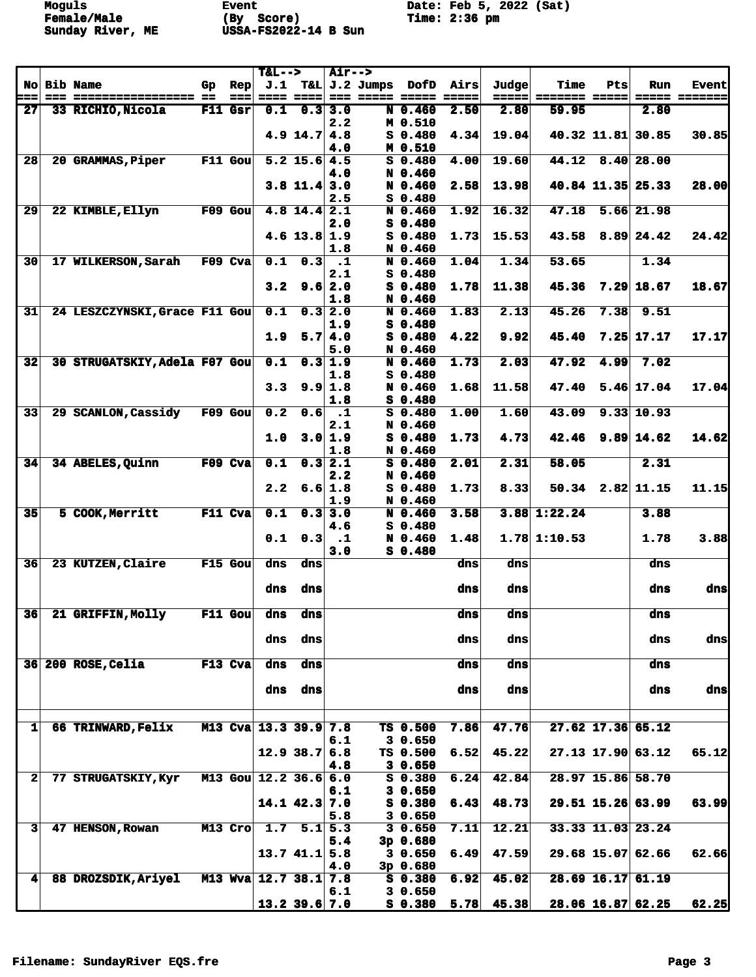**Female/Male (By Score) Time: 2:36 pm Sunday River, ME USSA-FS2022-14 B Sun** 

**Moguls Event** Event Date: Feb 5, 2022 (Sat)<br> **Female/Male** (By Score) Time: 2:36 pm

|                        |                                            |     |                | $T&L-->$                |                   | <b>Air--&gt;</b>            |                       |                              |                  |              |                |          |                     |                      |
|------------------------|--------------------------------------------|-----|----------------|-------------------------|-------------------|-----------------------------|-----------------------|------------------------------|------------------|--------------|----------------|----------|---------------------|----------------------|
|                        | No Bib Name                                | Gp. | Rep            |                         |                   |                             | $J.1$ T&L $J.2$ Jumps |                              | <b>DofD</b> Airs | Judge        | Time           | Pts      | Run                 | <b>Event</b>         |
| ===<br>27 <sub>l</sub> | ================== ==<br>33 RICHIO, Nicola |     | ===<br>F11 Gsr | $= 1.1$<br>0.1          | -----<br>0.3      | 3.0                         |                       | === ===== =====<br>N 0.460   | $= 2222$<br>2.50 | 2.80         | =====<br>59.95 | == ===== | 2.80                | <b>===== =======</b> |
|                        |                                            |     |                |                         |                   | 2.2                         |                       | M 0.510                      |                  |              |                |          |                     |                      |
|                        |                                            |     |                |                         | $4.9$ 14.7 $4.8$  |                             |                       | $S_0.480$                    | 4.34             | 19.04        |                |          | 40.32 11.81 30.85   | 30.85                |
|                        |                                            |     |                |                         |                   | 4.0                         |                       | M 0.510                      |                  |              |                |          |                     |                      |
| 28                     | 20 GRAMMAS, Piper                          |     | $F11$ Gou      |                         | $5.2$ 15.6 4.5    |                             |                       | $S$ 0.480                    | 4.00             | 19.60        | 44.12          |          | $8.40$ 28.00        |                      |
|                        |                                            |     |                |                         | $3.8$ 11.4 3.0    | 4.0                         |                       | N 0.460<br>N 0.460           | 2.58             | 13.98        |                |          | 40.84 11.35 25.33   | 28.00                |
|                        |                                            |     |                |                         |                   | 2.5                         |                       | $S_0, 480$                   |                  |              |                |          |                     |                      |
| 29                     | 22 KIMBLE, Ellyn                           |     | $F09$ Gou      |                         | $4.8$ 14.4 2.1    |                             |                       | N 0.460                      | 1.92             | 16.32        | 47.18          |          | $5.66$ 21.98        |                      |
|                        |                                            |     |                |                         |                   | 2.0                         |                       | S 0.480                      |                  |              |                |          |                     |                      |
|                        |                                            |     |                |                         | $4.6$ 13.8 1.9    |                             |                       | $S$ 0.480                    | 1.73             | 15.53        | 43.58          |          | $8.89$ 24.42        | 24.42                |
| 30                     | <b>17 WILKERSON, Sarah</b>                 |     | F09 Cva        | 0.1                     | 0.3               | 1.8<br>$\cdot$ 1            |                       | N 0.460<br>N 0.460           | 1.04             | 1.34         | 53.65          |          | 1.34                |                      |
|                        |                                            |     |                |                         |                   | 2.1                         |                       | $S$ 0.480                    |                  |              |                |          |                     |                      |
|                        |                                            |     |                | 3.2                     | 9.6               | 2.0                         |                       | $S$ 0.480                    | 1.78             | 11.38        | 45.36          |          | $7.29$ 18.67        | 18.67                |
|                        |                                            |     |                |                         |                   | 1.8                         |                       | N 0.460                      |                  |              |                |          |                     |                      |
| 31                     | 24 LESZCZYNSKI, Grace F11 Gou              |     |                | 0.1                     | 0.3               | 2.0                         |                       | N 0.460                      | 1.83             | 2.13         | 45.26          | 7.38     | 9.51                |                      |
|                        |                                            |     |                | 1.9                     | 5.7               | 1.9<br>4.0                  |                       | $S$ 0.480<br>$S_0.480$       | 4.22             | 9.92         | 45.40          |          | $7.25$ 17.17        | 17.17                |
|                        |                                            |     |                |                         |                   | 5.0                         |                       | N 0.460                      |                  |              |                |          |                     |                      |
| 32                     | 30 STRUGATSKIY, Adela F07 Gou              |     |                | 0.1                     | 0.3               | $\overline{1.9}$            |                       | N 0.460                      | 1.73             | 2.03         | 47.92          | 4.99     | 7.02                |                      |
|                        |                                            |     |                |                         |                   | 1.8                         |                       | S 0.480                      |                  |              |                |          |                     |                      |
|                        |                                            |     |                | 3.3                     | 9.9               | 1.8                         |                       | N 0.460                      | 1.68             | 11.58        | 47.40          |          | $5.46$ 17.04        | 17.04                |
| 33                     | 29 SCANLON, Cassidy                        |     | $F09$ Gou      | 0.2                     | 0.6               | 1.8<br>$\cdot$ 1            |                       | $S$ 0.480<br>$S$ 0.480       | 1.00             | 1.60         | 43.09          |          | 9.33 10.93          |                      |
|                        |                                            |     |                |                         |                   | 2.1                         |                       | N 0.460                      |                  |              |                |          |                     |                      |
|                        |                                            |     |                | 1.0                     | 3.0               | 1.9                         |                       | $S$ 0.480                    | 1.73             | 4.73         | 42.46          |          | $9.89$ 14.62        | 14.62                |
|                        |                                            |     |                |                         |                   | 1.8                         |                       | N 0.460                      |                  |              |                |          |                     |                      |
| 34                     | 34 ABELES, Quinn                           |     | F09 Cva        | 0.1                     |                   | $\overline{0.3}$ 2.1<br>2.2 |                       | $S$ 0.480<br>N 0.460         | 2.01             | 2.31         | 58.05          |          | 2.31                |                      |
|                        |                                            |     |                | 2.2                     |                   | 6.6 1.8                     |                       | $S_0.480$                    | 1.73             | 8.33         |                |          | $50.34$ 2.82 11.15  | 11.15                |
|                        |                                            |     |                |                         |                   | 1.9                         |                       | N 0.460                      |                  |              |                |          |                     |                      |
| 35                     | 5 COOK, Merritt                            |     | F11 Cva        | 0.1                     | 0.3               | 3.0                         |                       | N 0.460                      | 3.58             |              | $3.88$ 1:22.24 |          | 3.88                |                      |
|                        |                                            |     |                |                         |                   | 4.6                         |                       | $S$ 0.480                    |                  |              |                |          |                     |                      |
|                        |                                            |     |                | 0.1                     | 0.3               | $\cdot$ 1<br>3.0            |                       | N 0.460<br>S 0.480           | 1.48             |              | $1.78$ 1:10.53 |          | 1.78                | 3.88                 |
| 36                     | 23 KUTZEN, Claire                          |     | $F15$ Gou      | dns                     | dns               |                             |                       |                              | dns              | dns          |                |          | dns                 |                      |
|                        |                                            |     |                |                         |                   |                             |                       |                              |                  |              |                |          |                     |                      |
|                        |                                            |     |                | dns                     | dns               |                             |                       |                              | dns              | dns          |                |          | dns                 | dns                  |
| 36                     | 21 GRIFFIN, Molly                          |     | $F11$ Gou      | dns                     | dns               |                             |                       |                              | dns              | dns          |                |          | dns                 |                      |
|                        |                                            |     |                |                         |                   |                             |                       |                              |                  |              |                |          |                     |                      |
|                        |                                            |     |                | dns                     | dns               |                             |                       |                              | dns              | dns          |                |          | dns                 | dnsl                 |
|                        |                                            |     |                |                         |                   |                             |                       |                              |                  |              |                |          |                     |                      |
|                        | 36 200 ROSE, Celia                         |     | $F13$ Cva      | dns                     | dns               |                             |                       |                              | dns              | dns          |                |          | dns                 |                      |
|                        |                                            |     |                | dns                     | dns               |                             |                       |                              | dns              | dns          |                |          | dns                 | dns                  |
|                        |                                            |     |                |                         |                   |                             |                       |                              |                  |              |                |          |                     |                      |
|                        |                                            |     |                |                         |                   |                             |                       |                              |                  |              |                |          |                     |                      |
| $1\vert$               | 66 TRINWARD, Felix                         |     |                | M13 Cva 13.3 39.9 7.8   |                   |                             |                       | TS 0.500                     | 7.86             | 47.76        |                |          | 27.62 17.36 65.12   |                      |
|                        |                                            |     |                |                         | $12.9$ 38.7 6.8   | 6.1                         |                       | 30.650<br>TS 0.500           | 6.52             | 45.22        |                |          | 27.13 17.90 63.12   | 65.12                |
|                        |                                            |     |                |                         |                   | 4.8                         |                       | 30.650                       |                  |              |                |          |                     |                      |
| $\mathbf{2}$           | 77 STRUGATSKIY, Kyr                        |     |                | M13 Gou $12.2$ 36.6 6.0 |                   |                             |                       | S 0.380                      | 6.24             | 42.84        |                |          | 28.97 15.86 58.70   |                      |
|                        |                                            |     |                |                         |                   | 6.1                         |                       | 30.650                       |                  |              |                |          |                     |                      |
|                        |                                            |     |                |                         | $14.1$ $42.3$ 7.0 |                             |                       | S 0.380                      | 6.43             | 48.73        |                |          | 29.51 15.26 63.99   | 63.99                |
| 3 <sup>1</sup>         | 47 HENSON, Rowan                           |     | $M13$ Cro      |                         | 1.7 $5.1$ 5.3     | 5.8                         |                       | 30.650<br>30.650             | 7.11             | 12.21        |                |          | 33.33 11.03 23.24   |                      |
|                        |                                            |     |                |                         |                   | 5.4                         |                       | $3p$ 0.680                   |                  |              |                |          |                     |                      |
|                        |                                            |     |                |                         | $13.7$ 41.1 5.8   |                             |                       | 30.650                       | 6.49             | 47.59        |                |          | 29.68 15.07 62.66   | 62.66                |
|                        |                                            |     |                |                         |                   | 4.0                         |                       | $3p$ 0.680                   |                  |              |                |          |                     |                      |
| 4                      | 88 DROZSDIK, Ariyel                        |     |                | M13 Wva 12.7 38.1 7.8   |                   | 6.1                         |                       | S <sub>0.380</sub><br>30.650 | 6.92             | 45.02        |                |          | 28.69 16.17 61.19   |                      |
|                        |                                            |     |                |                         | $13.2$ 39.6 7.0   |                             |                       | S 0.380                      |                  | $5.78$ 45.38 |                |          | $28.06$ 16.87 62.25 | 62.25                |
|                        |                                            |     |                |                         |                   |                             |                       |                              |                  |              |                |          |                     |                      |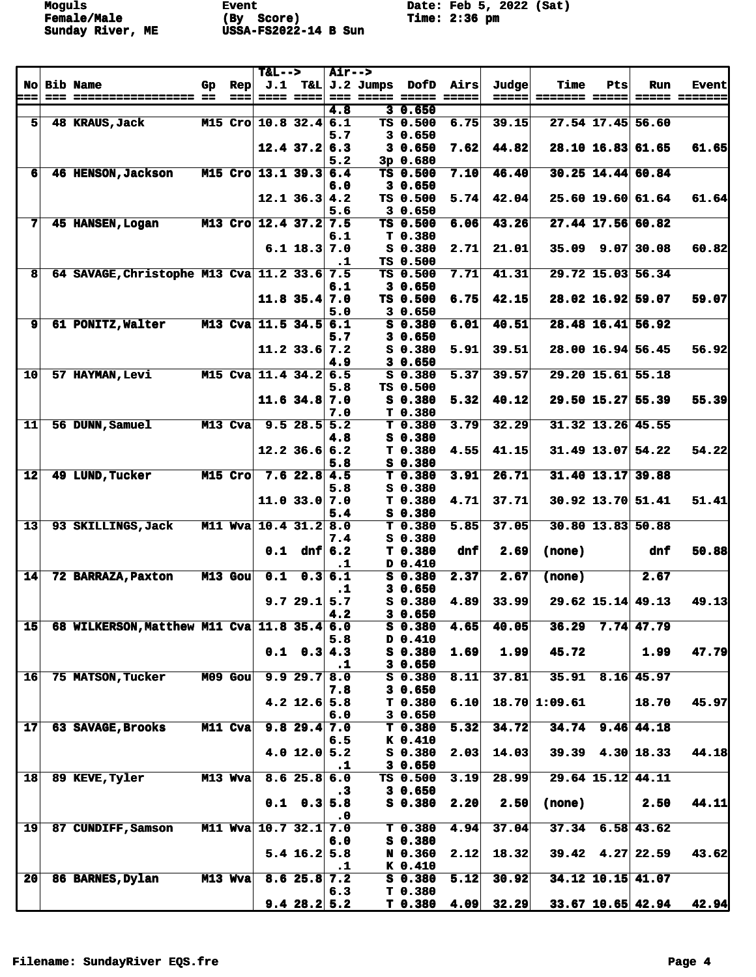**Moguls Event** Event Date: Feb 5, 2022 (Sat)<br> **Female/Male** (By Score) Time: 2:36 pm **Female/Male (By Score) Time: 2:36 pm Sunday River, ME USSA-FS2022-14 B Sun** 

|                         |                                             |           |         | $T&L-->$              |                        | <b>Air--&gt;</b> |                                 |                            |       |               |     |                     |                      |
|-------------------------|---------------------------------------------|-----------|---------|-----------------------|------------------------|------------------|---------------------------------|----------------------------|-------|---------------|-----|---------------------|----------------------|
|                         | No Bib Name                                 | Gp.       | Rep     |                       |                        |                  | $J.1$ T&L $J.2$ Jumps DofD      | Airs                       | Judge | Time          | Pts | Run                 | <b>Event</b>         |
| ===                     |                                             |           | ===     |                       | <u> ==== ====</u>      | 4.8              | 30.650                          |                            | ===== | ======= ===== |     |                     | <b>===== =======</b> |
| $\overline{\mathbf{s}}$ | 48 KRAUS, Jack                              |           |         | M15 Cro 10.8 32.4 6.1 |                        |                  | TS 0.500                        | 6.75                       | 39.15 |               |     | 27.54 17.45 56.60   |                      |
|                         |                                             |           |         |                       |                        | 5.7              | 30.650                          |                            |       |               |     |                     |                      |
|                         |                                             |           |         |                       | $12.4$ 37.2 6.3        |                  | 30.650                          | 7.62                       | 44.82 |               |     | 28.10 16.83 61.65   | 61.65                |
|                         |                                             |           |         |                       |                        | 5.2              | 3p 0.680                        |                            |       |               |     |                     |                      |
| 6                       | 46 HENSON, Jackson                          |           |         | M15 Cro 13.1 39.3 6.4 |                        |                  | TS 0.500                        | 7.10                       | 46.40 |               |     | 30.25 14.44 60.84   |                      |
|                         |                                             |           |         |                       |                        | 6.0              | 30.650                          |                            |       |               |     |                     |                      |
|                         |                                             |           |         |                       | $12.1$ 36.3 4.2        |                  | TS 0.500                        | 5.74                       | 42.04 |               |     | $25.60$ 19.60 61.64 | 61.64                |
|                         |                                             |           |         |                       |                        | 5.6              | 30.650                          |                            |       |               |     |                     |                      |
| 7                       | 45 HANSEN, Logan                            |           |         | M13 Cro 12.4 37.2 7.5 |                        |                  | TS 0.500                        | 6.06                       | 43.26 |               |     | 27.44 17.56 60.82   |                      |
|                         |                                             |           |         |                       | $6.1$ 18.3 7.0         | 6.1              | T <sub>0.380</sub><br>$S$ 0.380 | 2.71                       | 21.01 |               |     | $35.09$ 9.07 30.08  | 60.82                |
|                         |                                             |           |         |                       |                        | $\cdot$          | TS 0.500                        |                            |       |               |     |                     |                      |
| 8                       | 64 SAVAGE, Christophe M13 Cva 11.2 33.6 7.5 |           |         |                       |                        |                  | TS 0.500                        | 7.71                       | 41.31 |               |     | 29.72 15.03 56.34   |                      |
|                         |                                             |           |         |                       |                        | 6.1              | 3 0.650                         |                            |       |               |     |                     |                      |
|                         |                                             |           |         |                       | $11.8$ 35.4 7.0        |                  | TS 0.500                        | 6.75                       | 42.15 |               |     | 28.02 16.92 59.07   | 59.07                |
|                         |                                             |           |         |                       |                        | 5.0              | 30.650                          |                            |       |               |     |                     |                      |
| $\mathbf{9}$            | 61 PONITZ, Walter                           |           |         | M13 Cva 11.5 34.5 6.1 |                        |                  | $S_0.380$                       | 6.01                       | 40.51 |               |     | 28.48 16.41 56.92   |                      |
|                         |                                             |           |         |                       |                        | 5.7              | 30.650                          |                            |       |               |     |                     |                      |
|                         |                                             |           |         |                       | $11.2$ 33.6 7.2        |                  | $S$ 0.380                       | 5.91                       | 39.51 |               |     | 28.00 16.94 56.45   | 56.92                |
| 10                      | 57 HAYMAN, Levi                             | $M15$ Cva |         |                       | $11.4$ 34.2 6.5        | 4.9              | 30.650<br>$S$ 0.380             | 5.37                       | 39.57 |               |     | 29.20 15.61 55.18   |                      |
|                         |                                             |           |         |                       |                        | 5.8              | TS 0.500                        |                            |       |               |     |                     |                      |
|                         |                                             |           |         |                       | $11.6$ 34.8 7.0        |                  | $S_0.380$                       | 5.32                       | 40.12 |               |     | 29.50 15.27 55.39   | 55.39                |
|                         |                                             |           |         |                       |                        | 7.0              | T 0.380                         |                            |       |               |     |                     |                      |
| $11$                    | 56 DUNN, Samuel                             | M13 Cva   |         |                       | $9.5$ 28.5 $5.2$       |                  | T 0.380                         | 3.79                       | 32.29 |               |     | 31.32 13.26 45.55   |                      |
|                         |                                             |           |         |                       |                        | 4.8              | S 0.380                         |                            |       |               |     |                     |                      |
|                         |                                             |           |         |                       | $12.2$ 36.6 6.2        |                  | T 0.380                         | 4.55                       | 41.15 |               |     | $31.49$ 13.07 54.22 | 54.22                |
|                         |                                             |           |         |                       |                        | 5.8              | S 0.380                         |                            |       |               |     |                     |                      |
| 12                      | 49 LUND, Tucker                             | $M15$ Cro |         |                       | $7.6$ 22.8 4.5         | 5.8              | T 0.380<br>S 0.380              | 3.91                       | 26.71 |               |     | $31.40$ 13.17 39.88 |                      |
|                         |                                             |           |         |                       | $11.0$ 33.0 7.0        |                  | T 0.380                         | 4.71                       | 37.71 |               |     | $30.92$ 13.70 51.41 | 51.41                |
|                         |                                             |           |         |                       |                        | 5.4              | $S$ 0.380                       |                            |       |               |     |                     |                      |
| 13                      | 93 SKILLINGS, Jack                          |           |         | M11 Wva 10.4 31.2 8.0 |                        |                  | T <sub>0.380</sub>              | 5.85                       | 37.05 |               |     | $30.80$ 13.83 50.88 |                      |
|                         |                                             |           |         |                       |                        | 7.4              | S 0.380                         |                            |       |               |     |                     |                      |
|                         |                                             |           |         | 0.1                   |                        | dnf $6.2$        | T <sub>0.380</sub>              | dnf                        | 2.69  | (none)        |     | dnf                 | 50.88                |
|                         |                                             |           |         |                       |                        | $\cdot$          | D 0.410                         |                            |       |               |     |                     |                      |
| 14                      | 72 BARRAZA, Paxton                          | M13 Gou   |         | 0.1                   |                        | 0.36.1           | $S$ 0.380                       | 2.37                       | 2.67  | (none)        |     | 2.67                |                      |
|                         |                                             |           |         |                       | 9.729.15.7             | $\cdot$ 1        | 30.650<br>S 0.380               | 4.89                       | 33.99 |               |     | $29.62$ 15.14 49.13 | 49.13                |
|                         |                                             |           |         |                       |                        | 4.2              | 30.650                          |                            |       |               |     |                     |                      |
| 15                      | 68 WILKERSON, Matthew M11 Cva 11.8 35.4 6.0 |           |         |                       |                        |                  | $S_0.380$                       | 4.65                       | 40.05 |               |     | $36.29$ 7.74 47.79  |                      |
|                         |                                             |           |         |                       |                        | 5.8              | D 0.410                         |                            |       |               |     |                     |                      |
|                         |                                             |           |         |                       | $0.1 \quad 0.3 \, 4.3$ |                  | S 0.380                         | 1.69                       | 1.99  | 45.72         |     | 1.99                | 47.79                |
|                         |                                             |           |         |                       |                        | $\cdot$ 1        | 30.650                          |                            |       |               |     |                     |                      |
| 16 <sup>l</sup>         | 75 MATSON, Tucker                           |           | M09 Gou |                       | 9.929.7                | 8.0              | S 0.380                         | $\overline{\mathbf{8.11}}$ | 37.81 |               |     | $35.91$ 8.16 45.97  |                      |
|                         |                                             |           |         |                       |                        | 7.8              | 30.650                          |                            |       |               |     |                     |                      |
|                         |                                             |           |         |                       | $4.2$ 12.6 5.8         |                  | T <sub>0.380</sub>              | 6.10                       |       | 18.70 1:09.61 |     | 18.70               | 45.97                |
| 17 <sup>1</sup>         | 63 SAVAGE, Brooks                           |           | M11 Cva |                       | $9.8$ 29.4 7.0         | 6.0              | 30.650<br>T <sub>0.380</sub>    | $\overline{5.32}$          | 34.72 | 34.74         |     | $9.46$ 44.18        |                      |
|                         |                                             |           |         |                       |                        | 6.5              | $K$ 0.410                       |                            |       |               |     |                     |                      |
|                         |                                             |           |         |                       | 4.0 $12.0$ 5.2         |                  | S 0.380                         | 2.03                       | 14.03 |               |     | $39.39$ 4.30 18.33  | 44.18                |
|                         |                                             |           |         |                       |                        | $\cdot$ 1        | 30.650                          |                            |       |               |     |                     |                      |
| 18                      | 89 KEVE, Tyler                              | M13 Wva   |         |                       | 8.625.8                | 6.0              | TS 0.500                        | 3.19                       | 28.99 |               |     | 29.64 15.12 44.11   |                      |
|                         |                                             |           |         |                       |                        | $\cdot$ 3        | 30.650                          |                            |       |               |     |                     |                      |
|                         |                                             |           |         |                       | $0.1 \quad 0.3 \, 5.8$ |                  | S 0.380                         | 2.20                       | 2.50  | (none)        |     | 2.50                | 44.11                |
| 19                      | 87 CUNDIFF, Samson                          |           |         | M11 Wva 10.7 32.1     |                        | $\cdot$ 0<br>7.0 | T <sub>0.380</sub>              | 4.94                       | 37.04 |               |     | $37.34$ 6.58 43.62  |                      |
|                         |                                             |           |         |                       |                        | 6.0              | $S$ 0.380                       |                            |       |               |     |                     |                      |
|                         |                                             |           |         |                       | $5.4$ 16.2 5.8         |                  | N 0.360                         | 2.12                       | 18.32 |               |     | $39.42$ 4.27 22.59  | 43.62                |
|                         |                                             |           |         |                       |                        | $\cdot$ 1        | $K$ 0.410                       |                            |       |               |     |                     |                      |
| 20 <sub>1</sub>         | 86 BARNES, Dylan                            | $M13$ Wva |         |                       | $8.6$ 25.8 7.2         |                  | $S$ 0.380                       | 5.12                       | 30.92 |               |     | 34.12 10.15 41.07   |                      |
|                         |                                             |           |         |                       |                        | 6.3              | T 0.380                         |                            |       |               |     |                     |                      |
|                         |                                             |           |         |                       | 9.428.25.2             |                  | T 0.380                         | 4.09                       | 32.29 |               |     | $33.67$ 10.65 42.94 | 42.94                |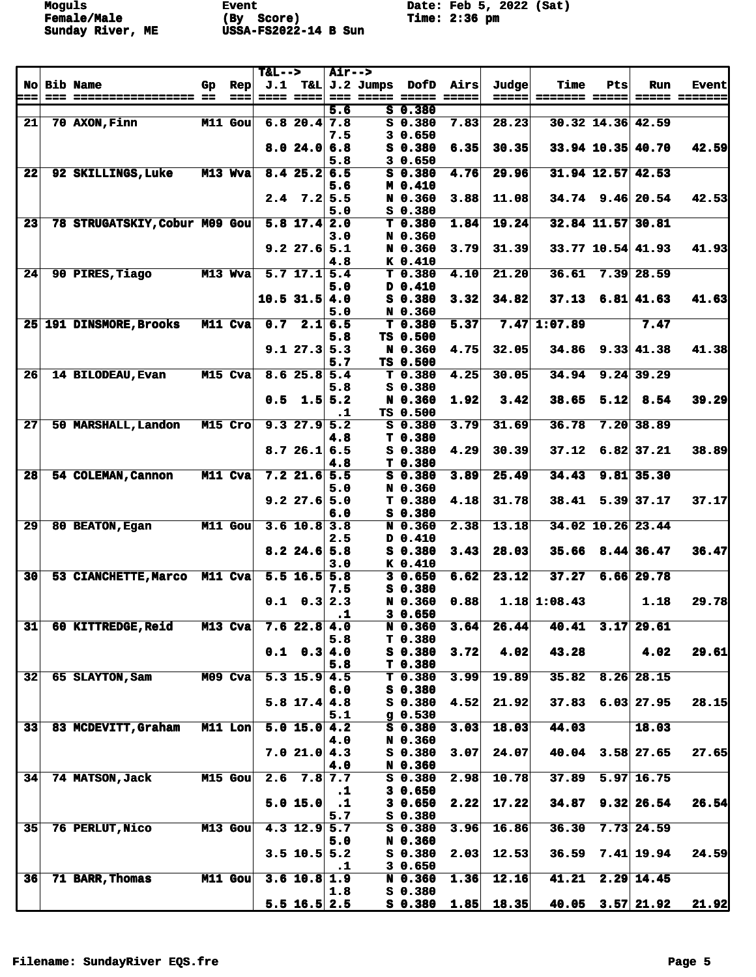**Moguls Event** Event Date: Feb 5, 2022 (Sat)<br> **Female/Male** (By Score) Time: 2:36 pm **Female/Male (By Score) Time: 2:36 pm Sunday River, ME USSA-FS2022-14 B Sun** 

|                 |             |                               |                |           | $T&L-->$ |                           | <b>Air--&gt;</b> |                       |                    |      |              |                 |      |                      |                      |
|-----------------|-------------|-------------------------------|----------------|-----------|----------|---------------------------|------------------|-----------------------|--------------------|------|--------------|-----------------|------|----------------------|----------------------|
|                 |             | No Bib Name                   | Gp.            | Rep       |          |                           |                  | $J.1$ T&L $J.2$ Jumps | DofD               | Airs | Judge        | Time            | Pts  | <b>Run</b>           | <b>Event</b>         |
| ===             | $=$ $=$ $=$ | ================== ==         |                | $==$      |          | ---- ----                 |                  |                       |                    |      | =====        | _______________ |      |                      | <b>===== =======</b> |
|                 |             |                               |                |           |          |                           | 5.6              |                       | 50.380             |      |              |                 |      |                      |                      |
| 21              |             | 70 AXON, Finn                 |                | $M11$ Gou |          | $6.8$ 20.4 7.8            |                  |                       | $S$ 0.380          | 7.83 | 28.23        |                 |      | 30.32 14.36 42.59    |                      |
|                 |             |                               |                |           |          |                           | 7.5              |                       | 30.650             |      |              |                 |      |                      |                      |
|                 |             |                               |                |           |          | 8.024.06.8                |                  |                       | $S$ 0.380          | 6.35 | 30.35        |                 |      | 33.94 10.35 40.70    | 42.59                |
|                 |             |                               |                |           |          |                           | 5.8              |                       | 30.650             |      |              |                 |      |                      |                      |
| 22              |             | 92 SKILLINGS, Luke            |                | M13 Wva   |          | 8.425.26.5                |                  |                       | $S$ 0.380          | 4.76 | 29.96        |                 |      | 31.94 12.57 42.53    |                      |
|                 |             |                               |                |           |          |                           | 5.6              |                       | M 0.410            |      |              |                 |      |                      |                      |
|                 |             |                               |                |           |          | $2.4$ 7.2 5.5             |                  |                       | N 0.360            | 3.88 | 11.08        |                 |      | $34.74$ 9.46 20.54   | 42.53                |
|                 |             |                               |                |           |          |                           | 5.0              |                       | S 0.380            |      |              |                 |      |                      |                      |
| 23              |             | 78 STRUGATSKIY, Cobur M09 Gou |                |           |          | $5.8$ 17.4 2.0            |                  |                       | T 0.380            | 1.84 | 19.24        |                 |      | 32.84 11.57 30.81    |                      |
|                 |             |                               |                |           |          |                           | 3.0              |                       | N 0.360            |      |              |                 |      |                      |                      |
|                 |             |                               |                |           |          | $9.2$ 27.6 5.1            |                  |                       | N 0.360            | 3.79 | 31.39        |                 |      | $33.77$ 10.54 41.93  | 41.93                |
|                 |             |                               |                |           |          |                           | 4.8              |                       | K 0.410            |      |              |                 |      |                      |                      |
| 24              |             | 90 PIRES, Tiago               | M13 Wya        |           |          | $5.7$ 17.1 $5.4$          |                  |                       | T 0.380            | 4.10 | 21.20        | 36.61           |      | $7.39$ 28.59         |                      |
|                 |             |                               |                |           |          |                           |                  |                       |                    |      |              |                 |      |                      |                      |
|                 |             |                               |                |           |          |                           | 5.0              |                       | D 0.410            |      |              |                 |      |                      |                      |
|                 |             |                               |                |           |          | $10.5$ 31.5 4.0           |                  |                       | $S$ 0.380          | 3.32 | 34.82        | 37.13           |      | $6.81$ 41.63         | 41.63                |
|                 |             |                               |                |           |          |                           | 5.0              |                       | N 0.360            |      |              |                 |      |                      |                      |
|                 |             | 25 191 DINSMORE, Brooks       |                | M11 Cva   | 0.7      |                           | 2.16.5           |                       | T <sub>0.380</sub> | 5.37 |              | $7.47$ 1:07.89  |      | 7.47                 |                      |
|                 |             |                               |                |           |          |                           | 5.8              |                       | TS 0.500           |      |              |                 |      |                      |                      |
|                 |             |                               |                |           |          | 9.127.35.3                |                  |                       | N 0.360            | 4.75 | 32.05        | 34.86           |      | $9.33 \mid 41.38$    | 41.38                |
|                 |             |                               |                |           |          |                           | 5.7              |                       | TS 0.500           |      |              |                 |      |                      |                      |
| 26              |             | 14 BILODEAU, Evan             |                | M15 Cva   |          | 8.625.85.4                |                  |                       | T <sub>0.380</sub> | 4.25 | 30.05        | 34.94           |      | $9.24$ 39.29         |                      |
|                 |             |                               |                |           |          |                           | 5.8              |                       | S 0.380            |      |              |                 |      |                      |                      |
|                 |             |                               |                |           |          | $0.5$ 1.5 5.2             |                  |                       | N 0.360            | 1.92 | 3.42         | 38.65           | 5.12 | 8.54                 | 39.29                |
|                 |             |                               |                |           |          |                           | $\cdot$ 1        |                       | TS 0.500           |      |              |                 |      |                      |                      |
| 27              |             | 50 MARSHALL, Landon           |                | M15 Cro   |          | 9.327.9                   | 5.2              |                       | $S$ 0.380          | 3.79 | 31.69        | 36.78           |      | 7.20   38.89         |                      |
|                 |             |                               |                |           |          |                           | 4.8              |                       | T 0.380            |      |              |                 |      |                      |                      |
|                 |             |                               |                |           |          | 8.726.16.5                |                  |                       | $S$ 0.380          | 4.29 | 30.39        | 37.12           |      | $6.82$ 37.21         | 38.89                |
|                 |             |                               |                |           |          |                           | 4.8              |                       | T 0.380            |      |              |                 |      |                      |                      |
| 28              |             | 54 COLEMAN, Cannon            |                | M11 Cva   |          | $7.2$ 21.6 5.5            |                  |                       | $S$ 0.380          | 3.89 | 25.49        | 34.43           |      | $9.81$ 35.30         |                      |
|                 |             |                               |                |           |          |                           | 5.0              |                       | N 0.360            |      |              |                 |      |                      |                      |
|                 |             |                               |                |           |          | $9.2$ 27.6 5.0            |                  |                       | T 0.380            | 4.18 | 31.78        | 38.41           |      | $5.39$ 37.17         | 37.17                |
|                 |             |                               |                |           |          |                           | 6.0              |                       | $S$ 0.380          |      |              |                 |      |                      |                      |
| 29              |             | 80 BEATON, Egan               | <b>M11 Gou</b> |           |          | $3.6$ 10.8 3.8            |                  |                       | N 0.360            | 2.38 | 13.18        |                 |      | 34.02 10.26 23.44    |                      |
|                 |             |                               |                |           |          |                           | 2.5              |                       | D 0.410            |      |              |                 |      |                      |                      |
|                 |             |                               |                |           |          | $8.2$ 24.6 5.8            |                  |                       | S 0.380            | 3.43 | 28.03        |                 |      | $35.66$ $8.44$ 36.47 | 36.47                |
|                 |             |                               |                |           |          |                           |                  |                       |                    |      |              |                 |      |                      |                      |
|                 |             |                               |                |           |          |                           | 3.0              |                       | $K$ 0.410          |      |              |                 |      |                      |                      |
| 30 <sup>1</sup> |             | 53 CIANCHETTE, Marco M11 Cva  |                |           |          | $5.5$ 16.5 $5.8$          |                  |                       | 30.650             | 6.62 | 23.12        | 37.27           |      | $6.66$ 29.78         |                      |
|                 |             |                               |                |           |          |                           | 7.5              |                       | S 0.380            |      |              |                 |      |                      |                      |
|                 |             |                               |                |           | 0.1      | $0.3$ 2.3                 |                  |                       | N 0.360            | 0.88 |              | $1.18$ 1:08.43  |      | 1.18                 | 29.78                |
|                 |             |                               |                |           |          |                           | $\cdot$ 1        |                       | 30.650             |      |              |                 |      |                      |                      |
| 31              |             | 60 KITTREDGE, Reid            |                | $M13$ Cva |          | 7.622.84.0                |                  |                       | N 0.360            | 3.64 | 26.44        |                 |      | $40.41$ $3.17$ 29.61 |                      |
|                 |             |                               |                |           |          |                           | 5.8              |                       | T 0.380            |      |              |                 |      |                      |                      |
|                 |             |                               |                |           |          | $0.1 \quad 0.3 \, 4.0$    |                  |                       | $S_0.380$          | 3.72 | 4.02         | 43.28           |      | 4.02                 | 29.61                |
|                 |             |                               |                |           |          |                           | 5.8              |                       | T 0.380            |      |              |                 |      |                      |                      |
| 32              |             | 65 SLAYTON, Sam               |                | M09 Cva   |          | $5.3$ 15.9 4.5            |                  |                       | T <sub>0.380</sub> | 3.99 | 19.89        |                 |      | $35.82$ 8.26 28.15   |                      |
|                 |             |                               |                |           |          |                           | 6.0              |                       | $S$ 0.380          |      |              |                 |      |                      |                      |
|                 |             |                               |                |           |          | $5.8$ 17.4 4.8            |                  |                       | S 0.380            | 4.52 | 21.92        | 37.83           |      | $6.03$ 27.95         | 28.15                |
|                 |             |                               |                |           |          |                           | 5.1              |                       | $g$ 0.530          |      |              |                 |      |                      |                      |
| 33 <sup>1</sup> |             | 83 MCDEVITT, Graham           |                | M11 Lon   |          | $\overline{5.0}$ 15.0 4.2 |                  |                       | $S$ 0.380          | 3.03 | 18.03        | 44.03           |      | 18.03                |                      |
|                 |             |                               |                |           |          |                           | 4.0              |                       | N 0.360            |      |              |                 |      |                      |                      |
|                 |             |                               |                |           |          | 7.021.04.3                |                  |                       | S 0.380            | 3.07 | 24.07        |                 |      | $40.04$ 3.58 27.65   | 27.65                |
|                 |             |                               |                |           |          |                           | 4.0              |                       | N 0.360            |      |              |                 |      |                      |                      |
| 34              |             | 74 MATSON, Jack               |                | M15 Gou   |          | $2.6$ $7.8$ $7.7$         |                  |                       | $S_0.380$          | 2.98 | 10.78        | 37.89           |      | $5.97$ 16.75         |                      |
|                 |             |                               |                |           |          |                           | $\cdot$ 1        |                       | 30.650             |      |              |                 |      |                      |                      |
|                 |             |                               |                |           |          | 5.0 15.0                  | $\cdot$ 1        |                       | 30.650             | 2.22 | 17.22        | 34.87           |      | 9.32   26.54         | 26.54                |
|                 |             |                               |                |           |          |                           | 5.7              |                       | $S$ 0.380          |      |              |                 |      |                      |                      |
| 35              |             | 76 PERLUT, Nico               |                | M13 Gou   |          | $4.3$ 12.9 5.7            |                  |                       | $S_0.380$          | 3.96 | 16.86        | 36.30           |      | $7.73$ 24.59         |                      |
|                 |             |                               |                |           |          |                           | 5.0              |                       | N 0.360            |      |              |                 |      |                      |                      |
|                 |             |                               |                |           |          | $3.5$ 10.5 5.2            |                  |                       | $S_0.380$          | 2.03 | 12.53        | 36.59           |      | $7.41$ 19.94         | 24.59                |
|                 |             |                               |                |           |          |                           | $\cdot$ 1        |                       | 30.650             |      |              |                 |      |                      |                      |
| 36              |             |                               |                | M11 Gou   |          | $3.6$ 10.8 1.9            |                  |                       | $N$ 0.360          | 1.36 | 12.16        | 41.21           |      | $2.29$ 14.45         |                      |
|                 |             | 71 BARR, Thomas               |                |           |          |                           |                  |                       |                    |      |              |                 |      |                      |                      |
|                 |             |                               |                |           |          |                           | 1.8              |                       | $S$ 0.380          |      |              |                 |      |                      |                      |
|                 |             |                               |                |           |          | $5.5$ 16.5 2.5            |                  |                       | S 0.380            |      | $1.85$ 18.35 |                 |      | $40.05$ $3.57$ 21.92 | 21.92                |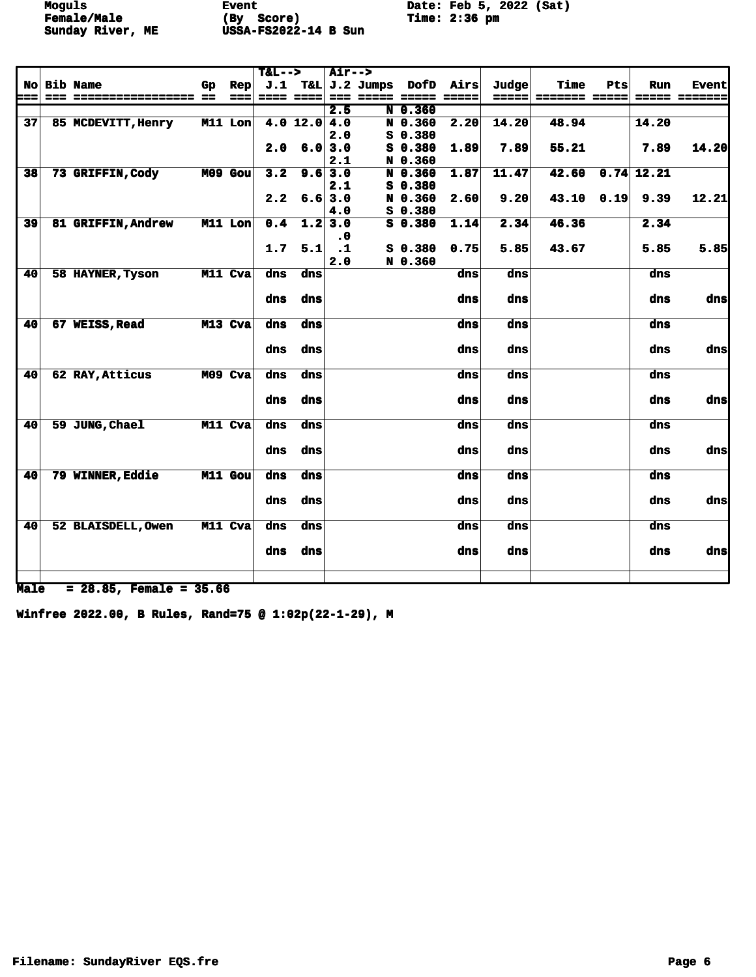**Moguls Event** Event Date: Feb 5, 2022 (Sat)<br> **Female/Male** (By Score) Time: 2:36 pm **Female/Male (By Score) Time: 2:36 pm Sunday River, ME USSA-FS2022-14 B Sun** 

| J.1 T&L J.2 Jumps DofD Airs<br>No Bib Name<br>Judge<br>Time<br>Pts<br>Run<br>Rep<br>Gp<br>$\begin{array}{c} \multicolumn{3}{c} {\color{blue} \textbf{2.5}} \\ \multicolumn{3}{c} {\color{blue} \textbf{3.5}} \\ \multicolumn{3}{c} {\color{blue} \textbf{4.5}} \\ \multicolumn{3}{c} {\color{blue} \textbf{5.5}} \\ \multicolumn{3}{c} {\color{blue} \textbf{6.5}} \\ \multicolumn{3}{c} {\color{blue} \textbf{6.5}} \\ \multicolumn{3}{c} {\color{blue} \textbf{7.5}} \\ \multicolumn{3}{c} {\color{blue} \textbf{8.5}} \\ \multicolumn{3}{c} {\color{blue} \textbf{9.5}} \\ \multicolumn{3$<br>===== <br>================== ==<br>$= - - 1$<br>$= 222$<br>-----<br>=== =====<br>------<br>======= ===== <br>N 0.360<br>2.5<br>N 0.360<br>37 <sup>1</sup><br>M11 Lon<br>$4.0$ 12.0 4.0<br>2.20<br>14.20<br>48.94<br>14.20<br>85 MCDEVITT, Henry | <b>Event</b><br><b>===== ======</b> |
|--------------------------------------------------------------------------------------------------------------------------------------------------------------------------------------------------------------------------------------------------------------------------------------------------------------------------------------------------------------------------------------------------------------------------------------------------------------------------------------------------------------------------------------------------------------------------------------------------------------------------------------------------------------------------------------------------------------------------------------------------------------------------------------------------------------------------------------------------|-------------------------------------|
|                                                                                                                                                                                                                                                                                                                                                                                                                                                                                                                                                                                                                                                                                                                                                                                                                                                  |                                     |
|                                                                                                                                                                                                                                                                                                                                                                                                                                                                                                                                                                                                                                                                                                                                                                                                                                                  |                                     |
|                                                                                                                                                                                                                                                                                                                                                                                                                                                                                                                                                                                                                                                                                                                                                                                                                                                  |                                     |
|                                                                                                                                                                                                                                                                                                                                                                                                                                                                                                                                                                                                                                                                                                                                                                                                                                                  |                                     |
| 2.0<br>$S$ 0.380                                                                                                                                                                                                                                                                                                                                                                                                                                                                                                                                                                                                                                                                                                                                                                                                                                 |                                     |
| $2.0 \t6.03.0$<br>$S$ 0.380<br>55.21<br>1.89<br>7.89<br>7.89                                                                                                                                                                                                                                                                                                                                                                                                                                                                                                                                                                                                                                                                                                                                                                                     | 14.20                               |
| 2.1<br>N 0.360                                                                                                                                                                                                                                                                                                                                                                                                                                                                                                                                                                                                                                                                                                                                                                                                                                   |                                     |
| 42.60<br>$0.74$ 12.21<br>$M09$ Gou<br>9.6 3.0<br>N 0.360<br>1.87<br>11.47<br>38 <sup>l</sup><br>73 GRIFFIN, Cody<br>3.2                                                                                                                                                                                                                                                                                                                                                                                                                                                                                                                                                                                                                                                                                                                          |                                     |
| $S$ 0.380<br>2.1                                                                                                                                                                                                                                                                                                                                                                                                                                                                                                                                                                                                                                                                                                                                                                                                                                 |                                     |
| $2.2$ 6.6 3.0<br>N 0.360<br>2.60<br>9.20<br>$43.10$ $0.19$<br>9.39                                                                                                                                                                                                                                                                                                                                                                                                                                                                                                                                                                                                                                                                                                                                                                               | 12.21                               |
| 4.0<br>$S_0.380$                                                                                                                                                                                                                                                                                                                                                                                                                                                                                                                                                                                                                                                                                                                                                                                                                                 |                                     |
| 39 <sup>°</sup><br>M11 Lon<br>$1.2$ 3.0<br>$S$ 0.380<br>1.14<br>46.36<br>2.34<br><b>81 GRIFFIN, Andrew</b><br>0.4<br>2.34                                                                                                                                                                                                                                                                                                                                                                                                                                                                                                                                                                                                                                                                                                                        |                                     |
| $\cdot$ 0                                                                                                                                                                                                                                                                                                                                                                                                                                                                                                                                                                                                                                                                                                                                                                                                                                        |                                     |
| 5.1<br>1.7<br>$\overline{\phantom{a}}$ .1<br>$S$ 0.380<br>0.75<br>43.67<br>5.85<br>5.85                                                                                                                                                                                                                                                                                                                                                                                                                                                                                                                                                                                                                                                                                                                                                          | 5.85                                |
| 2.0<br>N 0.360                                                                                                                                                                                                                                                                                                                                                                                                                                                                                                                                                                                                                                                                                                                                                                                                                                   |                                     |
| M11 Cva<br>dns<br>40<br>58 HAYNER, Tyson<br>dns<br>dns<br>dns<br>dns                                                                                                                                                                                                                                                                                                                                                                                                                                                                                                                                                                                                                                                                                                                                                                             |                                     |
|                                                                                                                                                                                                                                                                                                                                                                                                                                                                                                                                                                                                                                                                                                                                                                                                                                                  |                                     |
| dns<br>dns<br>dns<br>dns<br>dns                                                                                                                                                                                                                                                                                                                                                                                                                                                                                                                                                                                                                                                                                                                                                                                                                  | dns                                 |
|                                                                                                                                                                                                                                                                                                                                                                                                                                                                                                                                                                                                                                                                                                                                                                                                                                                  |                                     |
| 40<br>M13 Cva<br>dns<br>67 WEISS, Read<br>dns<br>dns<br>dns<br>dns                                                                                                                                                                                                                                                                                                                                                                                                                                                                                                                                                                                                                                                                                                                                                                               |                                     |
|                                                                                                                                                                                                                                                                                                                                                                                                                                                                                                                                                                                                                                                                                                                                                                                                                                                  |                                     |
| dns<br>dns<br>dns<br>dns<br>dns                                                                                                                                                                                                                                                                                                                                                                                                                                                                                                                                                                                                                                                                                                                                                                                                                  | dns                                 |
|                                                                                                                                                                                                                                                                                                                                                                                                                                                                                                                                                                                                                                                                                                                                                                                                                                                  |                                     |
| 40<br>62 RAY, Atticus<br>M09 Cva<br>dns<br>dns<br>dns<br>dns<br>dns                                                                                                                                                                                                                                                                                                                                                                                                                                                                                                                                                                                                                                                                                                                                                                              |                                     |
|                                                                                                                                                                                                                                                                                                                                                                                                                                                                                                                                                                                                                                                                                                                                                                                                                                                  |                                     |
| dns<br>dns<br>dns<br>dns<br>dns                                                                                                                                                                                                                                                                                                                                                                                                                                                                                                                                                                                                                                                                                                                                                                                                                  | dns                                 |
|                                                                                                                                                                                                                                                                                                                                                                                                                                                                                                                                                                                                                                                                                                                                                                                                                                                  |                                     |
| 59 JUNG, Chael<br>M11 Cva<br>40 <sup>1</sup><br>dns<br>dns<br>dns<br>dns<br>dns                                                                                                                                                                                                                                                                                                                                                                                                                                                                                                                                                                                                                                                                                                                                                                  |                                     |
|                                                                                                                                                                                                                                                                                                                                                                                                                                                                                                                                                                                                                                                                                                                                                                                                                                                  |                                     |
| dns<br>dns<br>dns<br>dns<br>dns                                                                                                                                                                                                                                                                                                                                                                                                                                                                                                                                                                                                                                                                                                                                                                                                                  | dnsl                                |
|                                                                                                                                                                                                                                                                                                                                                                                                                                                                                                                                                                                                                                                                                                                                                                                                                                                  |                                     |
| 79 WINNER, Eddie<br>M11 Gou<br>40<br>dns<br>dns<br>dns<br>dns<br>dns                                                                                                                                                                                                                                                                                                                                                                                                                                                                                                                                                                                                                                                                                                                                                                             |                                     |
|                                                                                                                                                                                                                                                                                                                                                                                                                                                                                                                                                                                                                                                                                                                                                                                                                                                  |                                     |
| dns<br>dns<br>dns<br>dns<br>dns                                                                                                                                                                                                                                                                                                                                                                                                                                                                                                                                                                                                                                                                                                                                                                                                                  | dns                                 |
|                                                                                                                                                                                                                                                                                                                                                                                                                                                                                                                                                                                                                                                                                                                                                                                                                                                  |                                     |
| 40<br>M11 Cva<br>52 BLAISDELL, Owen<br>dns<br>dns<br>dns<br>dns<br>dns                                                                                                                                                                                                                                                                                                                                                                                                                                                                                                                                                                                                                                                                                                                                                                           |                                     |
|                                                                                                                                                                                                                                                                                                                                                                                                                                                                                                                                                                                                                                                                                                                                                                                                                                                  |                                     |
| dns<br>dns<br>dns<br>dns<br>dns                                                                                                                                                                                                                                                                                                                                                                                                                                                                                                                                                                                                                                                                                                                                                                                                                  | dns                                 |
|                                                                                                                                                                                                                                                                                                                                                                                                                                                                                                                                                                                                                                                                                                                                                                                                                                                  |                                     |
|                                                                                                                                                                                                                                                                                                                                                                                                                                                                                                                                                                                                                                                                                                                                                                                                                                                  |                                     |

**Male = 28.85, Female = 35.66**

**Winfree 2022.00, B Rules, Rand=75 @ 1:02p(22-1-29), M**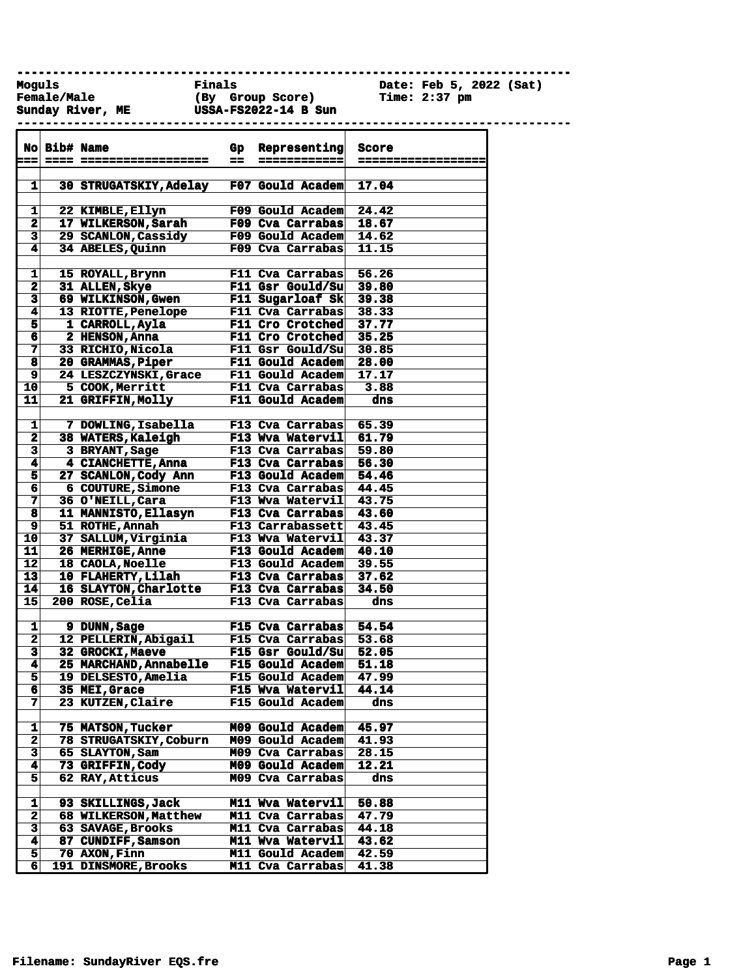**------------------------------------------------------------------------------**

**Female/Male (By Group Score) Time: 2:37 pm Sunday River, ME USSA-FS2022-14 B Sun** 

Date: Feb 5, 2022 (Sat)

| a a                     | <b>No Bib# Name</b>           | $=$ $=$ | Gp Representing<br>============ | Score<br>------------------ |
|-------------------------|-------------------------------|---------|---------------------------------|-----------------------------|
|                         |                               |         |                                 |                             |
| 1                       | <b>30 STRUGATSKIY, Adelay</b> |         | F07 Gould Academ                | 17.04                       |
|                         |                               |         |                                 |                             |
| 1                       | 22 KIMBLE, Ellyn              |         | <b>F09 Gould Academ</b>         | 24.42                       |
| $\overline{\mathbf{2}}$ | 17 WILKERSON, Sarah           |         | F09 Cva Carrabas                | 18.67                       |
| 3                       | 29 SCANLON, Cassidy           |         | F09 Gould Academ                | 14.62                       |
| 4                       | 34 ABELES, Quinn              |         | F09 Cva Carrabas                | 11.15                       |
| 1                       | 15 ROYALL, Brynn              |         | F11 Cva Carrabas                | 56.26                       |
| $\mathbf 2$             | 31 ALLEN, Skye                |         | <b>F11 Gsr Gould/Su</b>         | 39.80                       |
| 3                       | <b>69 WILKINSON, Gwen</b>     |         | F11 Sugarloaf Sk                | 39.38                       |
| 4                       | <b>13 RIOTTE, Penelope</b>    |         | F11 Cva Carrabas                | 38.33                       |
| 5                       | 1 CARROLL, Ayla               |         | <b>F11 Cro Crotched</b>         | 37.77                       |
| 6                       | 2 HENSON, Anna                |         | <b>F11 Cro Crotched</b> 35.25   |                             |
| 7                       | 33 RICHIO, Nicola             |         | F11 Gsr Gould/Su                | 30.85                       |
| $\overline{\mathbf{8}}$ | 20 GRAMMAS, Piper             |         | <b>F11 Gould Academ</b>         | 28.00                       |
| 9                       | 24 LESZCZYNSKI, Grace         |         | <b>F11 Gould Academ</b>         | 17.17                       |
| 10                      | 5 COOK, Merritt               |         | F11 Cva Carrabas                | 3.88                        |
| 11                      | <b>21 GRIFFIN, Molly</b>      |         | F11 Gould Academ                | dns                         |
|                         |                               |         |                                 |                             |
| 1                       | 7 DOWLING, Isabella           |         | F13 Cva Carrabas                | 65.39                       |
| $\overline{\mathbf{2}}$ | 38 WATERS, Kaleigh            |         | F13 Wva Watervil                | 61.79                       |
| $\overline{\mathbf{3}}$ | 3 BRYANT, Sage                |         | F13 Cva Carrabas                | 59.80                       |
| 4                       | 4 CIANCHETTE, Anna            |         | F13 Cva Carrabas                | 56.30                       |
| $\overline{\mathbf{5}}$ | 27 SCANLON, Cody Ann          |         | F13 Gould Academ                | 54.46                       |
| 6                       | 6 COUTURE, Simone             |         | F13 Cva Carrabas                | 44.45                       |
| 7                       | 36 O'NEILL, Cara              |         | F13 Wva Watervil 43.75          |                             |
| 8                       | 11 MANNISTO, Ellasyn          |         | F13 Cva Carrabas 43.60          |                             |
| $\overline{\mathbf{9}}$ | 51 ROTHE, Annah               |         | F13 Carrabassett                | 43.45                       |
| $\overline{10}$         | 37 SALLUM, Virginia           |         | F13 Wva Watervil                | 43.37                       |
| 11                      | <b>26 MERHIGE, Anne</b>       |         | <b>F13 Gould Academ</b>         | 40.10                       |
| 12                      | 18 CAOLA, Noelle              |         | F13 Gould Academ                | 39.55                       |
| 13                      | 10 FLAHERTY, Lilah            |         | F13 Cva Carrabas                | 37.62                       |
| 14                      | 16 SLAYTON, Charlotte         |         | F13 Cva Carrabas                | 34.50                       |
| 15                      | 200 ROSE, Celia               |         | F13 Cva Carrabas                | dns                         |
| 1                       | 9 DUNN, Sage                  |         | F15 Cva Carrabas                | 54.54                       |
| $\overline{\mathbf{2}}$ | 12 PELLERIN, Abigail          |         | F15 Cva Carrabas                | 53.68                       |
| 3                       | 32 GROCKI, Maeve              |         | F15 Gsr Gould/Su                | 52.05                       |
| 4                       | <b>25 MARCHAND, Annabelle</b> |         | F15 Gould Academ                | 51.18                       |
| $\overline{\mathbf{5}}$ | 19 DELSESTO, Amelia           |         | <b>F15 Gould Academ</b>         | 47.99                       |
| 6                       | 35 MEI, Grace                 |         | F15 Wva Watervil                | 44.14                       |
| 7                       | <b>23 KUTZEN, Claire</b>      |         | F15 Gould Academ                | dns                         |
|                         |                               |         |                                 |                             |
| 1                       | <b>75 MATSON, Tucker</b>      |         | M09 Gould Academ                | 45.97                       |
| $\overline{\mathbf{2}}$ | <b>78 STRUGATSKIY, Coburn</b> |         | M09 Gould Academ                | 41.93                       |
| $\overline{\mathbf{3}}$ | 65 SLAYTON, Sam               |         | M09 Cva Carrabas                | 28.15                       |

**4 73 GRIFFIN,Cody M09 Gould Academ 12.21 5 62 RAY,Atticus M09 Cva Carrabas dns**

**1 93 SKILLINGS,Jack M11 Wva Watervil 50.88 2 68 WILKERSON,Matthew M11 Cva Carrabas 47.79 3 63 SAVAGE,Brooks M11 Cva Carrabas 44.18**

**6 191 DINSMORE,Brooks M11 Cva Carrabas 41.38**

**M11 Gould Academ 42.59** 

**4 87 CUNDIFF, Samson**<br>5 70 AXON, Finn